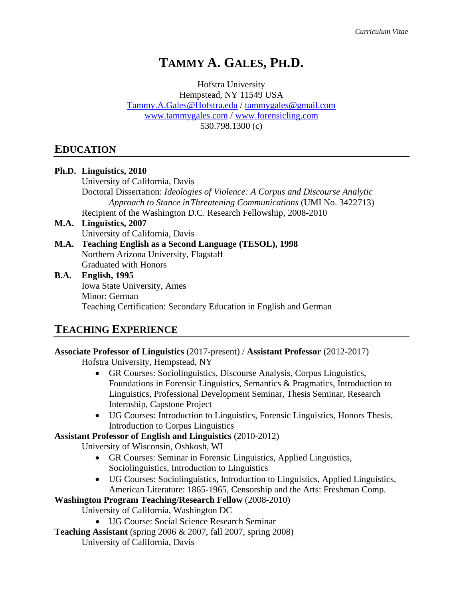# **TAMMY A. GALES, PH.D.**

Hofstra University Hempstead, NY 11549 USA [Tammy.A.Gales@Hofstra.edu](mailto:tammygales@gmail.com) / [tammygales@gmail.com](mailto:tammygales@gmail.com) [www.tammygales.com](http://www.tammygales.com/) / [www.forensicling.com](http://www.forensicling.com/) 530.798.1300 (c)

## **EDUCATION**

|                      | Ph.D. Linguistics, 2010                                                               |
|----------------------|---------------------------------------------------------------------------------------|
|                      | University of California, Davis                                                       |
|                      | Doctoral Dissertation: <i>Ideologies of Violence: A Corpus and Discourse Analytic</i> |
|                      | Approach to Stance in Threatening Communications (UMI No. 3422713)                    |
|                      | Recipient of the Washington D.C. Research Fellowship, 2008-2010                       |
|                      | M.A. Linguistics, 2007                                                                |
|                      | University of California, Davis                                                       |
|                      | M.A. Teaching English as a Second Language (TESOL), 1998                              |
|                      | Northern Arizona University, Flagstaff                                                |
|                      | <b>Graduated with Honors</b>                                                          |
|                      | <b>B.A.</b> English, 1995                                                             |
|                      | <b>Iowa State University, Ames</b>                                                    |
|                      | Minor: German                                                                         |
|                      | Teaching Certification: Secondary Education in English and German                     |
|                      |                                                                                       |
| TE LAUDIA EVORDIENAE |                                                                                       |

## **TEACHING EXPERIENCE**

**Associate Professor of Linguistics** (2017-present) / **Assistant Professor** (2012-2017)

Hofstra University, Hempstead, NY

- GR Courses: Sociolinguistics, Discourse Analysis, Corpus Linguistics, Foundations in Forensic Linguistics, Semantics & Pragmatics, Introduction to Linguistics, Professional Development Seminar, Thesis Seminar, Research Internship, Capstone Project
- UG Courses: Introduction to Linguistics, Forensic Linguistics, Honors Thesis, Introduction to Corpus Linguistics

**Assistant Professor of English and Linguistics** (2010-2012)

University of Wisconsin, Oshkosh, WI

- GR Courses: Seminar in Forensic Linguistics, Applied Linguistics, Sociolinguistics, Introduction to Linguistics
- UG Courses: Sociolinguistics, Introduction to Linguistics, Applied Linguistics, American Literature: 1865-1965, Censorship and the Arts: Freshman Comp.

**Washington Program Teaching/Research Fellow** (2008-2010)

University of California, Washington DC

- UG Course: Social Science Research Seminar
- **Teaching Assistant** (spring 2006 & 2007, fall 2007, spring 2008)

University of California, Davis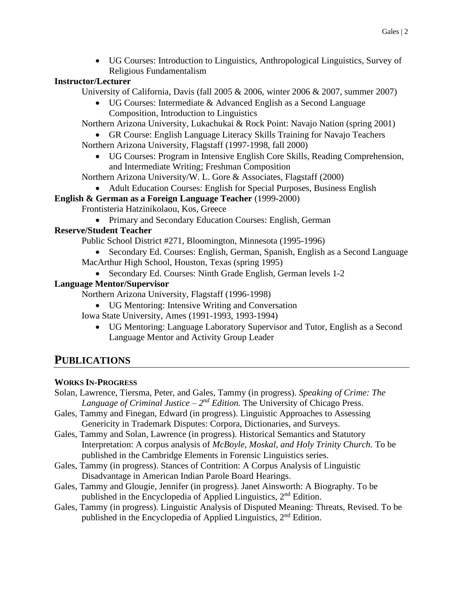• UG Courses: Introduction to Linguistics, Anthropological Linguistics, Survey of Religious Fundamentalism

### **Instructor/Lecturer**

University of California, Davis (fall 2005 & 2006, winter 2006 & 2007, summer 2007)

• UG Courses: Intermediate & Advanced English as a Second Language Composition, Introduction to Linguistics

Northern Arizona University, [Lukachukai](http://en.wikipedia.org/wiki/Lukachukai,_Arizona) & Rock Point: Navajo Nation (spring 2001)

• GR Course: English Language Literacy Skills Training for Navajo Teachers Northern Arizona University, Flagstaff (1997-1998, fall 2000)

• UG Courses: Program in Intensive English Core Skills, Reading Comprehension, and Intermediate Writing; Freshman Composition

Northern Arizona University/W. L. Gore & Associates, Flagstaff (2000)

• Adult Education Courses: English for Special Purposes, Business English

## **English & German as a Foreign Language Teacher** (1999-2000)

Frontisteria Hatzinikolaou, Kos, Greece

• Primary and Secondary Education Courses: English, German

## **Reserve/Student Teacher**

Public School District #271, Bloomington, Minnesota (1995-1996)

- Secondary Ed. Courses: English, German, Spanish, English as a Second Language MacArthur High School, Houston, Texas (spring 1995)
- Secondary Ed. Courses: Ninth Grade English, German levels 1-2

## **Language Mentor/Supervisor**

Northern Arizona University, Flagstaff (1996-1998)

- UG Mentoring: Intensive Writing and Conversation
- Iowa State University, Ames (1991-1993, 1993-1994)
	- UG Mentoring: Language Laboratory Supervisor and Tutor, English as a Second Language Mentor and Activity Group Leader

# **PUBLICATIONS**

## **WORKS IN-PROGRESS**

- Solan, Lawrence, Tiersma, Peter, and Gales, Tammy (in progress). *Speaking of Crime: The*  Language of Criminal Justice –  $2^{nd}$  *Edition*. The University of Chicago Press.
- Gales, Tammy and Finegan, Edward (in progress). Linguistic Approaches to Assessing Genericity in Trademark Disputes: Corpora, Dictionaries, and Surveys.
- Gales, Tammy and Solan, Lawrence (in progress). Historical Semantics and Statutory Interpretation: A corpus analysis of *McBoyle, Moskal, and Holy Trinity Church.* To be published in the Cambridge Elements in Forensic Linguistics series.
- Gales, Tammy (in progress). Stances of Contrition: A Corpus Analysis of Linguistic Disadvantage in American Indian Parole Board Hearings.
- Gales, Tammy and Glougie, Jennifer (in progress). Janet Ainsworth: A Biography. To be published in the Encyclopedia of Applied Linguistics, 2nd Edition.
- Gales, Tammy (in progress). Linguistic Analysis of Disputed Meaning: Threats, Revised. To be published in the Encyclopedia of Applied Linguistics,  $2<sup>nd</sup>$  Edition.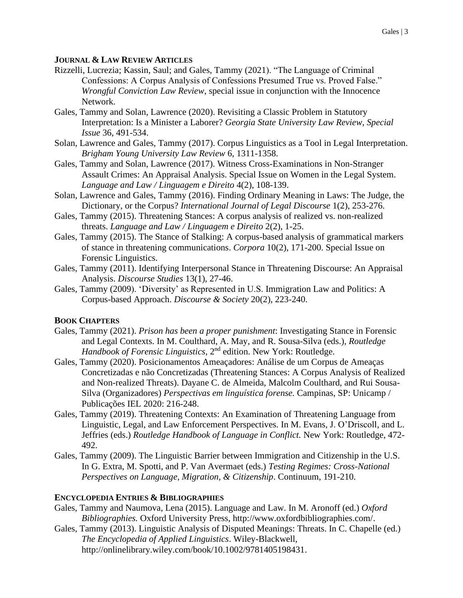#### **JOURNAL & LAW REVIEW ARTICLES**

- Rizzelli, Lucrezia; Kassin, Saul; and Gales, Tammy (2021). "The Language of Criminal Confessions: A Corpus Analysis of Confessions Presumed True vs. Proved False." *Wrongful Conviction Law Review*, special issue in conjunction with the Innocence Network.
- Gales, Tammy and Solan, Lawrence (2020). Revisiting a Classic Problem in Statutory Interpretation: Is a Minister a Laborer? *Georgia State University Law Review, Special Issue* 36, 491-534.
- Solan, Lawrence and Gales, Tammy (2017). Corpus Linguistics as a Tool in Legal Interpretation. *Brigham Young University Law Review* 6, 1311-1358.
- Gales, Tammy and Solan, Lawrence (2017). Witness Cross-Examinations in Non-Stranger Assault Crimes: An Appraisal Analysis. Special Issue on Women in the Legal System. *Language and Law / Linguagem e Direito* 4(2), 108-139.
- Solan, Lawrence and Gales, Tammy (2016). Finding Ordinary Meaning in Laws: The Judge, the Dictionary, or the Corpus? *International Journal of Legal Discourse* 1(2), 253-276.
- Gales, Tammy (2015). Threatening Stances: A corpus analysis of realized vs. non-realized threats. *Language and Law / Linguagem e Direito* 2(2), 1-25.
- Gales, Tammy (2015). The Stance of Stalking: A corpus-based analysis of grammatical markers of stance in threatening communications. *Corpora* 10(2), 171-200. Special Issue on Forensic Linguistics.
- Gales, Tammy (2011). Identifying Interpersonal Stance in Threatening Discourse: An Appraisal Analysis. *Discourse Studies* 13(1), 27-46.
- Gales, Tammy (2009). 'Diversity' as Represented in U.S. Immigration Law and Politics: A Corpus-based Approach. *Discourse & Society* 20(2), 223-240.

#### **BOOK CHAPTERS**

- Gales, Tammy (2021). *Prison has been a proper punishment*: Investigating Stance in Forensic and Legal Contexts. In M. Coulthard, A. May, and R. Sousa-Silva (eds.), *Routledge Handbook of Forensic Linguistics*, 2<sup>nd</sup> edition. New York: Routledge.
- Gales, Tammy (2020). Posicionamentos Ameaçadores: Análise de um Corpus de Ameaças Concretizadas e não Concretizadas (Threatening Stances: A Corpus Analysis of Realized and Non-realized Threats). Dayane C. de Almeida, Malcolm Coulthard, and Rui Sousa-Silva (Organizadores) *Perspectivas em linguística forense.* Campinas, SP: Unicamp / Publicações IEL 2020: 216-248.
- Gales, Tammy (2019). Threatening Contexts: An Examination of Threatening Language from Linguistic, Legal, and Law Enforcement Perspectives. In M. Evans, J. O'Driscoll, and L. Jeffries (eds.) *Routledge Handbook of Language in Conflict.* New York: Routledge, 472- 492.
- Gales, Tammy (2009). The Linguistic Barrier between Immigration and Citizenship in the U.S. In G. Extra, M. Spotti, and P. Van Avermaet (eds.) *Testing Regimes: Cross-National Perspectives on Language, Migration, & Citizenship*. Continuum, 191-210.

#### **ENCYCLOPEDIA ENTRIES & BIBLIOGRAPHIES**

- Gales, Tammy and Naumova, Lena (2015). Language and Law. In M. Aronoff (ed.) *Oxford Bibliographies.* Oxford University Press, http://www.oxfordbibliographies.com/.
- Gales, Tammy (2013). Linguistic Analysis of Disputed Meanings: Threats. In C. Chapelle (ed.) *The Encyclopedia of Applied Linguistics*. Wiley-Blackwell, http://onlinelibrary.wiley.com/book/10.1002/9781405198431.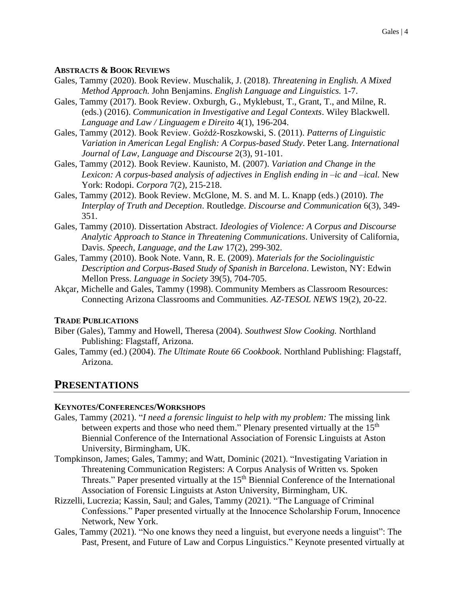#### **ABSTRACTS & BOOK REVIEWS**

- Gales, Tammy (2020). Book Review. Muschalik, J. (2018). *Threatening in English. A Mixed Method Approach.* John Benjamins. *English Language and Linguistics.* 1-7.
- Gales, Tammy (2017). Book Review. Oxburgh, G., Myklebust, T., Grant, T., and Milne, R. (eds.) (2016). *Communication in Investigative and Legal Contexts*. Wiley Blackwell. *Language and Law / Linguagem e Direito* 4(1), 196-204.
- Gales, Tammy (2012). Book Review. Goźdź-Roszkowski, S. (2011). *Patterns of Linguistic Variation in American Legal English: A Corpus-based Study*. Peter Lang. *International Journal of Law, Language and Discourse* 2(3), 91-101.
- Gales, Tammy (2012). Book Review. Kaunisto, M. (2007). *Variation and Change in the Lexicon: A corpus-based analysis of adjectives in English ending in –ic and –ical.* New York: Rodopi. *Corpora* 7(2), 215-218.
- Gales, Tammy (2012). Book Review. McGlone, M. S. and M. L. Knapp (eds.) (2010). *The Interplay of Truth and Deception*. Routledge. *Discourse and Communication* 6(3), 349- 351.
- Gales, Tammy (2010). Dissertation Abstract. *Ideologies of Violence: A Corpus and Discourse Analytic Approach to Stance in Threatening Communications*. University of California, Davis. *Speech, Language, and the Law* 17(2), 299-302.
- Gales, Tammy (2010). Book Note. Vann, R. E. (2009). *Materials for the Sociolinguistic Description and Corpus-Based Study of Spanish in Barcelona*. Lewiston, NY: Edwin Mellon Press. *Language in Society* 39(5), 704-705.
- Akçar, Michelle and Gales, Tammy (1998). Community Members as Classroom Resources: Connecting Arizona Classrooms and Communities. *AZ-TESOL NEWS* 19(2), 20-22.

#### **TRADE PUBLICATIONS**

- Biber (Gales), Tammy and Howell, Theresa (2004). *Southwest Slow Cooking.* Northland Publishing: Flagstaff, Arizona.
- Gales, Tammy (ed.) (2004). *The Ultimate Route 66 Cookbook*. Northland Publishing: Flagstaff, Arizona.

## **PRESENTATIONS**

#### **KEYNOTES/CONFERENCES/WORKSHOPS**

- Gales, Tammy (2021). "*I need a forensic linguist to help with my problem:* The missing link between experts and those who need them." Plenary presented virtually at the 15<sup>th</sup> Biennial Conference of the International Association of Forensic Linguists at Aston University, Birmingham, UK.
- Tompkinson, James; Gales, Tammy; and Watt, Dominic (2021). "Investigating Variation in Threatening Communication Registers: A Corpus Analysis of Written vs. Spoken Threats." Paper presented virtually at the  $15<sup>th</sup>$  Biennial Conference of the International Association of Forensic Linguists at Aston University, Birmingham, UK.
- Rizzelli, Lucrezia; Kassin, Saul; and Gales, Tammy (2021). "The Language of Criminal Confessions." Paper presented virtually at the Innocence Scholarship Forum, Innocence Network, New York.
- Gales, Tammy (2021). "No one knows they need a linguist, but everyone needs a linguist": The Past, Present, and Future of Law and Corpus Linguistics." Keynote presented virtually at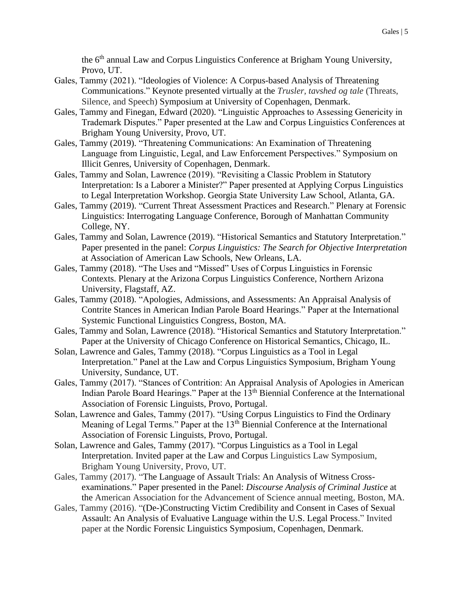the 6<sup>th</sup> annual Law and Corpus Linguistics Conference at Brigham Young University, Provo, UT.

- Gales, Tammy (2021). "Ideologies of Violence: A Corpus-based Analysis of Threatening Communications." Keynote presented virtually at the *Trusler, tavshed og tale* (Threats, Silence, and Speech) Symposium at University of Copenhagen, Denmark.
- Gales, Tammy and Finegan, Edward (2020). "Linguistic Approaches to Assessing Genericity in Trademark Disputes." Paper presented at the Law and Corpus Linguistics Conferences at Brigham Young University, Provo, UT.
- Gales, Tammy (2019). "Threatening Communications: An Examination of Threatening Language from Linguistic, Legal, and Law Enforcement Perspectives." Symposium on Illicit Genres, University of Copenhagen, Denmark.
- Gales, Tammy and Solan, Lawrence (2019). "Revisiting a Classic Problem in Statutory Interpretation: Is a Laborer a Minister?" Paper presented at Applying Corpus Linguistics to Legal Interpretation Workshop. Georgia State University Law School, Atlanta, GA.
- Gales, Tammy (2019). "Current Threat Assessment Practices and Research." Plenary at Forensic Linguistics: Interrogating Language Conference, Borough of Manhattan Community College, NY.
- Gales, Tammy and Solan, Lawrence (2019). "Historical Semantics and Statutory Interpretation." Paper presented in the panel: *Corpus Linguistics: The Search for Objective Interpretation* at Association of American Law Schools, New Orleans, LA.
- Gales, Tammy (2018). "The Uses and "Missed" Uses of Corpus Linguistics in Forensic Contexts. Plenary at the Arizona Corpus Linguistics Conference, Northern Arizona University, Flagstaff, AZ.
- Gales, Tammy (2018). "Apologies, Admissions, and Assessments: An Appraisal Analysis of Contrite Stances in American Indian Parole Board Hearings." Paper at the International Systemic Functional Linguistics Congress, Boston, MA.
- Gales, Tammy and Solan, Lawrence (2018). "Historical Semantics and Statutory Interpretation." Paper at the University of Chicago Conference on Historical Semantics, Chicago, IL.
- Solan, Lawrence and Gales, Tammy (2018). "Corpus Linguistics as a Tool in Legal Interpretation." Panel at the Law and Corpus Linguistics Symposium, Brigham Young University, Sundance, UT.
- Gales, Tammy (2017). "Stances of Contrition: An Appraisal Analysis of Apologies in American Indian Parole Board Hearings." Paper at the 13<sup>th</sup> Biennial Conference at the International Association of Forensic Linguists, Provo, Portugal.
- Solan, Lawrence and Gales, Tammy (2017). "Using Corpus Linguistics to Find the Ordinary Meaning of Legal Terms." Paper at the 13<sup>th</sup> Biennial Conference at the International Association of Forensic Linguists, Provo, Portugal.
- Solan, Lawrence and Gales, Tammy (2017). "Corpus Linguistics as a Tool in Legal Interpretation. Invited paper at the Law and Corpus Linguistics Law Symposium, Brigham Young University, Provo, UT.
- Gales, Tammy (2017). "The Language of Assault Trials: An Analysis of Witness Crossexaminations." Paper presented in the Panel: *Discourse Analysis of Criminal Justice* at the American Association for the Advancement of Science annual meeting, Boston, MA.
- Gales, Tammy (2016). "(De-)Constructing Victim Credibility and Consent in Cases of Sexual Assault: An Analysis of Evaluative Language within the U.S. Legal Process." Invited paper at the Nordic Forensic Linguistics Symposium, Copenhagen, Denmark.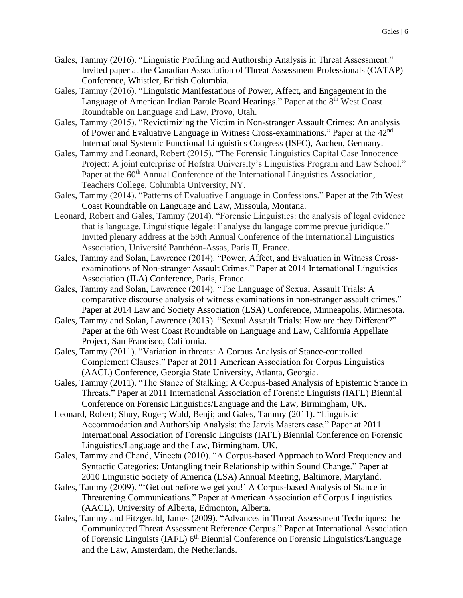- Gales, Tammy (2016). "Linguistic Profiling and Authorship Analysis in Threat Assessment." Invited paper at the Canadian Association of Threat Assessment Professionals (CATAP) Conference, Whistler, British Columbia.
- Gales, Tammy (2016). "Linguistic Manifestations of Power, Affect, and Engagement in the Language of American Indian Parole Board Hearings." Paper at the 8<sup>th</sup> West Coast Roundtable on Language and Law, Provo, Utah.
- Gales, Tammy (2015). "Revictimizing the Victim in Non-stranger Assault Crimes: An analysis of Power and Evaluative Language in Witness Cross-examinations." Paper at the 42<sup>nd</sup> International Systemic Functional Linguistics Congress (ISFC), Aachen, Germany.
- Gales, Tammy and Leonard, Robert (2015). "The Forensic Linguistics Capital Case Innocence Project: A joint enterprise of Hofstra University's Linguistics Program and Law School." Paper at the 60<sup>th</sup> Annual Conference of the International Linguistics Association, Teachers College, Columbia University, NY.
- Gales, Tammy (2014). "Patterns of Evaluative Language in Confessions." Paper at the 7th West Coast Roundtable on Language and Law, Missoula, Montana.
- Leonard, Robert and Gales, Tammy (2014). "Forensic Linguistics: the analysis of legal evidence that is language. Linguistique légale: l'analyse du langage comme prevue juridique." Invited plenary address at the 59th Annual Conference of the International Linguistics Association, Université Panthéon-Assas, Paris II, France.
- Gales, Tammy and Solan, Lawrence (2014). "Power, Affect, and Evaluation in Witness Crossexaminations of Non-stranger Assault Crimes." Paper at 2014 International Linguistics Association (ILA) Conference, Paris, France.
- Gales, Tammy and Solan, Lawrence (2014). "The Language of Sexual Assault Trials: A comparative discourse analysis of witness examinations in non-stranger assault crimes." Paper at 2014 Law and Society Association (LSA) Conference, Minneapolis, Minnesota.
- Gales, Tammy and Solan, Lawrence (2013). "Sexual Assault Trials: How are they Different?" Paper at the 6th West Coast Roundtable on Language and Law, California Appellate Project, San Francisco, California.
- Gales, Tammy (2011). "Variation in threats: A Corpus Analysis of Stance-controlled Complement Clauses." Paper at 2011 American Association for Corpus Linguistics (AACL) Conference, Georgia State University, Atlanta, Georgia.
- Gales, Tammy (2011). "The Stance of Stalking: A Corpus-based Analysis of Epistemic Stance in Threats." Paper at 2011 International Association of Forensic Linguists (IAFL) Biennial Conference on Forensic Linguistics/Language and the Law, Birmingham, UK.
- Leonard, Robert; Shuy, Roger; Wald, Benji; and Gales, Tammy (2011). "Linguistic Accommodation and Authorship Analysis: the Jarvis Masters case." Paper at 2011 International Association of Forensic Linguists (IAFL) Biennial Conference on Forensic Linguistics/Language and the Law, Birmingham, UK.
- Gales, Tammy and Chand, Vineeta (2010). "A Corpus-based Approach to Word Frequency and Syntactic Categories: Untangling their Relationship within Sound Change." Paper at 2010 Linguistic Society of America (LSA) Annual Meeting, Baltimore, Maryland.
- Gales, Tammy (2009). "'Get out before we get you!' A Corpus-based Analysis of Stance in Threatening Communications." Paper at American Association of Corpus Linguistics (AACL), University of Alberta, Edmonton, Alberta.
- Gales, Tammy and Fitzgerald, James (2009). "Advances in Threat Assessment Techniques: the Communicated Threat Assessment Reference Corpus." Paper at International Association of Forensic Linguists (IAFL) 6<sup>th</sup> Biennial Conference on Forensic Linguistics/Language and the Law, Amsterdam, the Netherlands.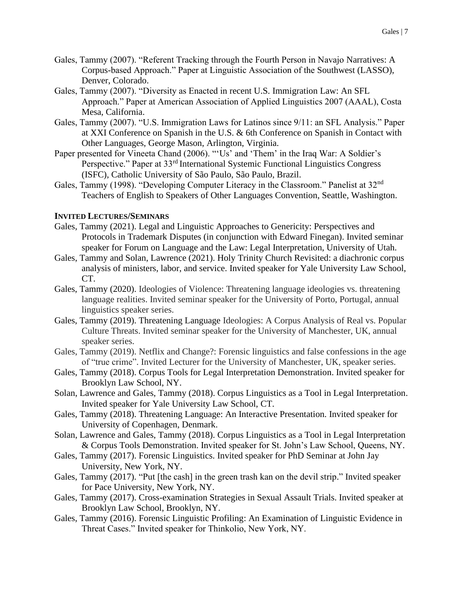- Gales, Tammy (2007). "Referent Tracking through the Fourth Person in Navajo Narratives: A Corpus-based Approach." Paper at Linguistic Association of the Southwest (LASSO), Denver, Colorado.
- Gales, Tammy (2007). "Diversity as Enacted in recent U.S. Immigration Law: An SFL Approach." Paper at American Association of Applied Linguistics 2007 (AAAL), Costa Mesa, California.
- Gales, Tammy (2007). "U.S. Immigration Laws for Latinos since 9/11: an SFL Analysis." Paper at XXI Conference on Spanish in the U.S. & 6th Conference on Spanish in Contact with Other Languages, George Mason, Arlington, Virginia.
- Paper presented for Vineeta Chand (2006). "'Us' and 'Them' in the Iraq War: A Soldier's Perspective." Paper at 33rd International Systemic Functional Linguistics Congress (ISFC), Catholic University of São Paulo, São Paulo, Brazil.
- Gales, Tammy (1998). "Developing Computer Literacy in the Classroom." Panelist at 32<sup>nd</sup> Teachers of English to Speakers of Other Languages Convention, Seattle, Washington.

#### **INVITED LECTURES/SEMINARS**

- Gales, Tammy (2021). Legal and Linguistic Approaches to Genericity: Perspectives and Protocols in Trademark Disputes (in conjunction with Edward Finegan). Invited seminar speaker for Forum on Language and the Law: Legal Interpretation, University of Utah.
- Gales, Tammy and Solan, Lawrence (2021). Holy Trinity Church Revisited: a diachronic corpus analysis of ministers, labor, and service. Invited speaker for Yale University Law School, CT.
- Gales, Tammy (2020). Ideologies of Violence: Threatening language ideologies vs. threatening language realities. Invited seminar speaker for the University of Porto, Portugal, annual linguistics speaker series.
- Gales, Tammy (2019). Threatening Language Ideologies: A Corpus Analysis of Real vs. Popular Culture Threats. Invited seminar speaker for the University of Manchester, UK, annual speaker series.
- Gales, Tammy (2019). Netflix and Change?: Forensic linguistics and false confessions in the age of "true crime". Invited Lecturer for the University of Manchester, UK, speaker series.
- Gales, Tammy (2018). Corpus Tools for Legal Interpretation Demonstration. Invited speaker for Brooklyn Law School, NY.
- Solan, Lawrence and Gales, Tammy (2018). Corpus Linguistics as a Tool in Legal Interpretation. Invited speaker for Yale University Law School, CT.
- Gales, Tammy (2018). Threatening Language: An Interactive Presentation. Invited speaker for University of Copenhagen, Denmark.
- Solan, Lawrence and Gales, Tammy (2018). Corpus Linguistics as a Tool in Legal Interpretation & Corpus Tools Demonstration. Invited speaker for St. John's Law School, Queens, NY.
- Gales, Tammy (2017). Forensic Linguistics. Invited speaker for PhD Seminar at John Jay University, New York, NY.
- Gales, Tammy (2017). "Put [the cash] in the green trash kan on the devil strip." Invited speaker for Pace University, New York, NY.
- Gales, Tammy (2017). Cross-examination Strategies in Sexual Assault Trials. Invited speaker at Brooklyn Law School, Brooklyn, NY.
- Gales, Tammy (2016). Forensic Linguistic Profiling: An Examination of Linguistic Evidence in Threat Cases." Invited speaker for Thinkolio, New York, NY.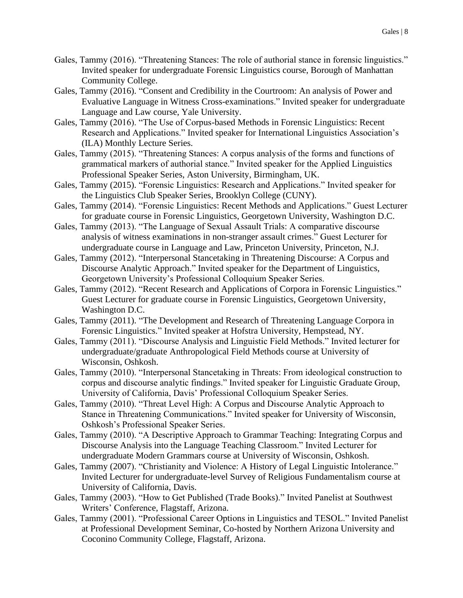- Gales, Tammy (2016). "Threatening Stances: The role of authorial stance in forensic linguistics." Invited speaker for undergraduate Forensic Linguistics course, Borough of Manhattan Community College.
- Gales, Tammy (2016). "Consent and Credibility in the Courtroom: An analysis of Power and Evaluative Language in Witness Cross-examinations." Invited speaker for undergraduate Language and Law course, Yale University.
- Gales, Tammy (2016). "The Use of Corpus-based Methods in Forensic Linguistics: Recent Research and Applications." Invited speaker for International Linguistics Association's (ILA) Monthly Lecture Series.
- Gales, Tammy (2015). "Threatening Stances: A corpus analysis of the forms and functions of grammatical markers of authorial stance." Invited speaker for the Applied Linguistics Professional Speaker Series, Aston University, Birmingham, UK.
- Gales, Tammy (2015). "Forensic Linguistics: Research and Applications." Invited speaker for the Linguistics Club Speaker Series, Brooklyn College (CUNY).
- Gales, Tammy (2014). "Forensic Linguistics: Recent Methods and Applications." Guest Lecturer for graduate course in Forensic Linguistics, Georgetown University, Washington D.C.
- Gales, Tammy (2013). "The Language of Sexual Assault Trials: A comparative discourse analysis of witness examinations in non-stranger assault crimes." Guest Lecturer for undergraduate course in Language and Law, Princeton University, Princeton, N.J.
- Gales, Tammy (2012). "Interpersonal Stancetaking in Threatening Discourse: A Corpus and Discourse Analytic Approach." Invited speaker for the Department of Linguistics, Georgetown University's Professional Colloquium Speaker Series.
- Gales, Tammy (2012). "Recent Research and Applications of Corpora in Forensic Linguistics." Guest Lecturer for graduate course in Forensic Linguistics, Georgetown University, Washington D.C.
- Gales, Tammy (2011). "The Development and Research of Threatening Language Corpora in Forensic Linguistics." Invited speaker at Hofstra University, Hempstead, NY.
- Gales, Tammy (2011). "Discourse Analysis and Linguistic Field Methods." Invited lecturer for undergraduate/graduate Anthropological Field Methods course at University of Wisconsin, Oshkosh.
- Gales, Tammy (2010). "Interpersonal Stancetaking in Threats: From ideological construction to corpus and discourse analytic findings." Invited speaker for Linguistic Graduate Group, University of California, Davis' Professional Colloquium Speaker Series.
- Gales, Tammy (2010). "Threat Level High: A Corpus and Discourse Analytic Approach to Stance in Threatening Communications." Invited speaker for University of Wisconsin, Oshkosh's Professional Speaker Series.
- Gales, Tammy (2010). "A Descriptive Approach to Grammar Teaching: Integrating Corpus and Discourse Analysis into the Language Teaching Classroom." Invited Lecturer for undergraduate Modern Grammars course at University of Wisconsin, Oshkosh.
- Gales, Tammy (2007). "Christianity and Violence: A History of Legal Linguistic Intolerance." Invited Lecturer for undergraduate-level Survey of Religious Fundamentalism course at University of California, Davis.
- Gales, Tammy (2003). "How to Get Published (Trade Books)." Invited Panelist at Southwest Writers' Conference, Flagstaff, Arizona.
- Gales, Tammy (2001). "Professional Career Options in Linguistics and TESOL." Invited Panelist at Professional Development Seminar, Co-hosted by Northern Arizona University and Coconino Community College, Flagstaff, Arizona.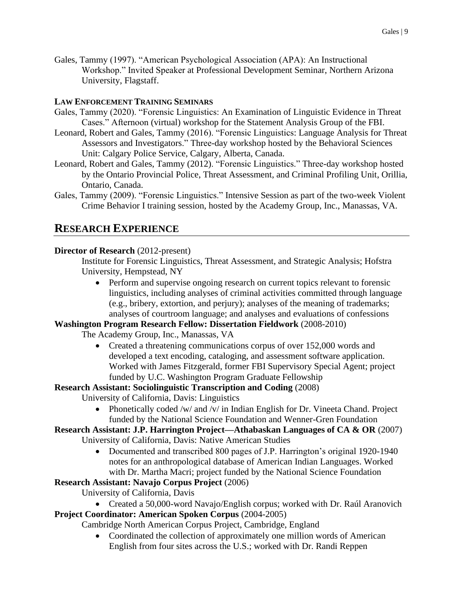Gales, Tammy (1997). "American Psychological Association (APA): An Instructional Workshop." Invited Speaker at Professional Development Seminar, Northern Arizona University, Flagstaff.

### **LAW ENFORCEMENT TRAINING SEMINARS**

- Gales, Tammy (2020). "Forensic Linguistics: An Examination of Linguistic Evidence in Threat Cases." Afternoon (virtual) workshop for the Statement Analysis Group of the FBI.
- Leonard, Robert and Gales, Tammy (2016). "Forensic Linguistics: Language Analysis for Threat Assessors and Investigators." Three-day workshop hosted by the Behavioral Sciences Unit: Calgary Police Service, Calgary, Alberta, Canada.
- Leonard, Robert and Gales, Tammy (2012). "Forensic Linguistics." Three-day workshop hosted by the Ontario Provincial Police, Threat Assessment, and Criminal Profiling Unit, Orillia, Ontario, Canada.
- Gales, Tammy (2009). "Forensic Linguistics." Intensive Session as part of the two-week Violent Crime Behavior I training session, hosted by the Academy Group, Inc., Manassas, VA.

## **RESEARCH EXPERIENCE**

#### **Director of Research** (2012-present)

Institute for Forensic Linguistics, Threat Assessment, and Strategic Analysis; Hofstra University, Hempstead, NY

• Perform and supervise ongoing research on current topics relevant to forensic linguistics, including analyses of criminal activities committed through language (e.g., bribery, extortion, and perjury); analyses of the meaning of trademarks; analyses of courtroom language; and analyses and evaluations of confessions

#### **Washington Program Research Fellow: Dissertation Fieldwork** (2008-2010)

The Academy Group, Inc., Manassas, VA

• Created a threatening communications corpus of over 152,000 words and developed a text encoding, cataloging, and assessment software application. Worked with James Fitzgerald, former FBI Supervisory Special Agent; project funded by U.C. Washington Program Graduate Fellowship

#### **Research Assistant: Sociolinguistic Transcription and Coding** (2008)

University of California, Davis: Linguistics

- Phonetically coded /w/ and /v/ in Indian English for Dr. Vineeta Chand. Project funded by the National Science Foundation and Wenner-Gren Foundation
- **Research Assistant: J.P. Harrington Project—Athabaskan Languages of CA & OR** (2007) University of California, Davis: Native American Studies
	- Documented and transcribed 800 pages of J.P. Harrington's original 1920-1940 notes for an anthropological database of American Indian Languages. Worked with Dr. Martha Macri; project funded by the National Science Foundation

## **Research Assistant: Navajo Corpus Project** (2006)

University of California, Davis

• Created a 50,000-word Navajo/English corpus; worked with Dr. Raúl Aranovich

## **Project Coordinator: American Spoken Corpus** (2004-2005)

Cambridge North American Corpus Project, Cambridge, England

• Coordinated the collection of approximately one million words of American English from four sites across the U.S.; worked with Dr. Randi Reppen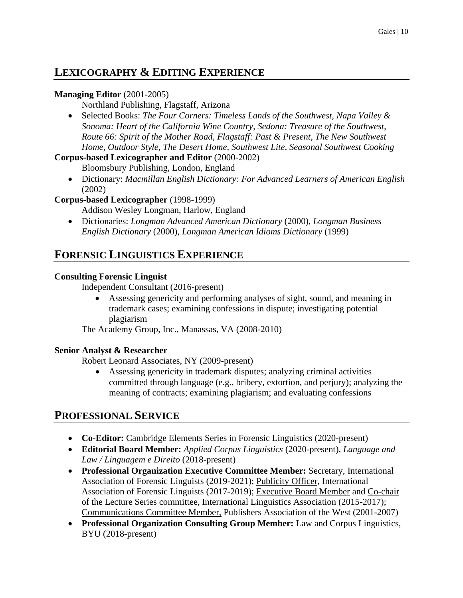# **LEXICOGRAPHY & EDITING EXPERIENCE**

### **Managing Editor** (2001-2005)

Northland Publishing, Flagstaff, Arizona

• Selected Books: *The Four Corners: Timeless Lands of the Southwest, Napa Valley & Sonoma: Heart of the California Wine Country, Sedona: Treasure of the Southwest, Route 66: Spirit of the Mother Road, Flagstaff: Past & Present, The New Southwest Home, Outdoor Style, The Desert Home, Southwest Lite, Seasonal Southwest Cooking*

#### **Corpus-based Lexicographer and Editor** (2000-2002)

Bloomsbury Publishing, London, England

• Dictionary: *Macmillan English Dictionary: For Advanced Learners of American English* (2002)

## **Corpus-based Lexicographer** (1998-1999)

Addison Wesley Longman, Harlow, England

• Dictionaries: *Longman Advanced American Dictionary* (2000), *Longman Business English Dictionary* (2000), *Longman American Idioms Dictionary* (1999)

## **FORENSIC LINGUISTICS EXPERIENCE**

### **Consulting Forensic Linguist**

Independent Consultant (2016-present)

• Assessing genericity and performing analyses of sight, sound, and meaning in trademark cases; examining confessions in dispute; investigating potential plagiarism

The Academy Group, Inc., Manassas, VA (2008-2010)

## **Senior Analyst & Researcher**

Robert Leonard Associates, NY (2009-present)

• Assessing genericity in trademark disputes; analyzing criminal activities committed through language (e.g., bribery, extortion, and perjury); analyzing the meaning of contracts; examining plagiarism; and evaluating confessions

## **PROFESSIONAL SERVICE**

- **Co-Editor:** Cambridge Elements Series in Forensic Linguistics (2020-present)
- **Editorial Board Member:** *Applied Corpus Linguistics* (2020-present)*, Language and Law / Linguagem e Direito* (2018-present)
- **Professional Organization Executive Committee Member:** Secretary, International Association of Forensic Linguists (2019-2021); Publicity Officer, International Association of Forensic Linguists (2017-2019); Executive Board Member and Co-chair of the Lecture Series committee, International Linguistics Association (2015-2017); Communications Committee Member, Publishers Association of the West (2001-2007)
- **Professional Organization Consulting Group Member:** Law and Corpus Linguistics, BYU (2018-present)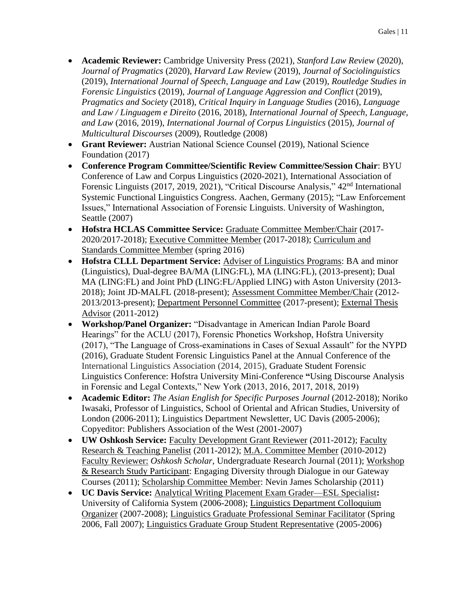- **Academic Reviewer:** Cambridge University Press (2021), *Stanford Law Review* (2020), *Journal of Pragmatics* (2020), *Harvard Law Review* (2019), *Journal of Sociolinguistics* (2019), *International Journal of Speech, Language and Law* (2019), *Routledge Studies in Forensic Linguistics* (2019), *Journal of Language Aggression and Conflict* (2019), *Pragmatics and Society* (2018), *Critical Inquiry in Language Studies* (2016), *Language and Law / Linguagem e Direito* (2016, 2018), *International Journal of Speech, Language, and Law* (2016, 2019), *International Journal of Corpus Linguistics* (2015), *Journal of Multicultural Discourses* (2009), Routledge (2008)
- **Grant Reviewer:** Austrian National Science Counsel (2019), National Science Foundation (2017)
- **Conference Program Committee/Scientific Review Committee/Session Chair**: BYU Conference of Law and Corpus Linguistics (2020-2021), International Association of Forensic Linguists (2017, 2019, 2021), "Critical Discourse Analysis," 42<sup>nd</sup> International Systemic Functional Linguistics Congress. Aachen, Germany (2015); "Law Enforcement Issues," International Association of Forensic Linguists. University of Washington, Seattle (2007)
- **Hofstra HCLAS Committee Service:** Graduate Committee Member/Chair (2017- 2020/2017-2018); Executive Committee Member (2017-2018); Curriculum and Standards Committee Member (spring 2016)
- **Hofstra CLLL Department Service:** Adviser of Linguistics Programs: BA and minor (Linguistics), Dual-degree BA/MA (LING:FL), MA (LING:FL), (2013-present); Dual MA (LING:FL) and Joint PhD (LING:FL/Applied LING) with Aston University (2013- 2018); Joint JD-MALFL (2018-present); Assessment Committee Member/Chair (2012- 2013/2013-present); Department Personnel Committee (2017-present); External Thesis Advisor (2011-2012)
- **Workshop/Panel Organizer:** "Disadvantage in American Indian Parole Board Hearings" for the ACLU (2017), Forensic Phonetics Workshop, Hofstra University (2017), "The Language of Cross-examinations in Cases of Sexual Assault" for the NYPD (2016), Graduate Student Forensic Linguistics Panel at the Annual Conference of the International Linguistics Association (2014, 2015), Graduate Student Forensic Linguistics Conference: Hofstra University Mini-Conference **"**Using Discourse Analysis in Forensic and Legal Contexts," New York (2013, 2016, 2017, 2018, 2019)
- **Academic Editor:** *The Asian English for Specific Purposes Journal* (2012-2018); Noriko Iwasaki, Professor of Linguistics, School of Oriental and African Studies, University of London (2006-2011); Linguistics Department Newsletter, UC Davis (2005-2006); Copyeditor: Publishers Association of the West (2001-2007)
- **UW Oshkosh Service:** Faculty Development Grant Reviewer (2011-2012); Faculty Research & Teaching Panelist (2011-2012); M.A. Committee Member (2010-2012) Faculty Reviewer: *Oshkosh Scholar*, Undergraduate Research Journal (2011); Workshop & Research Study Participant: Engaging Diversity through Dialogue in our Gateway Courses (2011); Scholarship Committee Member: Nevin James Scholarship (2011)
- **UC Davis Service:** Analytical Writing Placement Exam Grader—ESL Specialist**:** University of California System (2006-2008); Linguistics Department Colloquium Organizer (2007-2008); Linguistics Graduate Professional Seminar Facilitator (Spring 2006, Fall 2007); Linguistics Graduate Group Student Representative (2005-2006)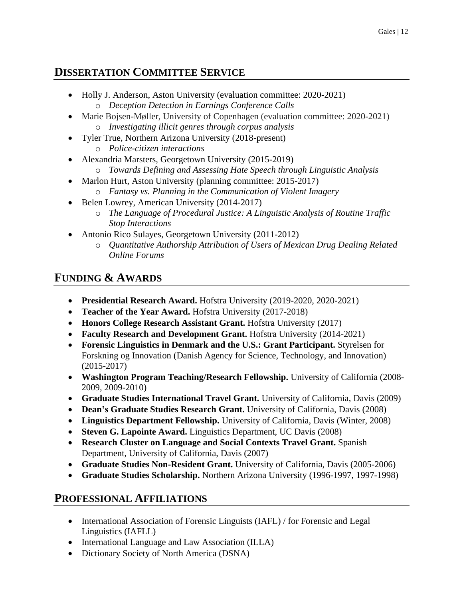# **DISSERTATION COMMITTEE SERVICE**

- Holly J. Anderson, Aston University (evaluation committee: 2020-2021)
	- o *Deception Detection in Earnings Conference Calls*
- Marie Bojsen-Møller, University of Copenhagen (evaluation committee: 2020-2021) o *Investigating illicit genres through corpus analysis*
- Tyler True, Northern Arizona University (2018-present) o *Police-citizen interactions*
- Alexandria Marsters, Georgetown University (2015-2019)
	- o *Towards Defining and Assessing Hate Speech through Linguistic Analysis*
- Marlon Hurt, Aston University (planning committee: 2015-2017)
	- o *Fantasy vs. Planning in the Communication of Violent Imagery*
- Belen Lowrey, American University (2014-2017)
	- o *The Language of Procedural Justice: A Linguistic Analysis of Routine Traffic Stop Interactions*
- Antonio Rico Sulayes, Georgetown University (2011-2012)
	- o *Quantitative Authorship Attribution of Users of Mexican Drug Dealing Related Online Forums*

# **FUNDING & AWARDS**

- **Presidential Research Award.** Hofstra University (2019-2020, 2020-2021)
- **Teacher of the Year Award.** Hofstra University (2017-2018)
- **Honors College Research Assistant Grant.** Hofstra University (2017)
- **Faculty Research and Development Grant.** Hofstra University (2014-2021)
- **Forensic Linguistics in Denmark and the U.S.: Grant Participant.** Styrelsen for Forskning og Innovation (Danish Agency for Science, Technology, and Innovation) (2015-2017)
- **Washington Program Teaching/Research Fellowship.** University of California (2008- 2009, 2009-2010)
- **Graduate Studies International Travel Grant.** University of California, Davis (2009)
- **Dean's Graduate Studies Research Grant.** University of California, Davis (2008)
- **Linguistics Department Fellowship.** University of California, Davis (Winter, 2008)
- **Steven G. Lapointe Award.** Linguistics Department, UC Davis (2008)
- **Research Cluster on Language and Social Contexts Travel Grant.** Spanish Department, University of California, Davis (2007)
- **Graduate Studies Non-Resident Grant.** University of California, Davis (2005-2006)
- **Graduate Studies Scholarship.** Northern Arizona University (1996-1997, 1997-1998)

# **PROFESSIONAL AFFILIATIONS**

- International Association of Forensic Linguists (IAFL) / for Forensic and Legal Linguistics (IAFLL)
- International Language and Law Association (ILLA)
- Dictionary Society of North America (DSNA)